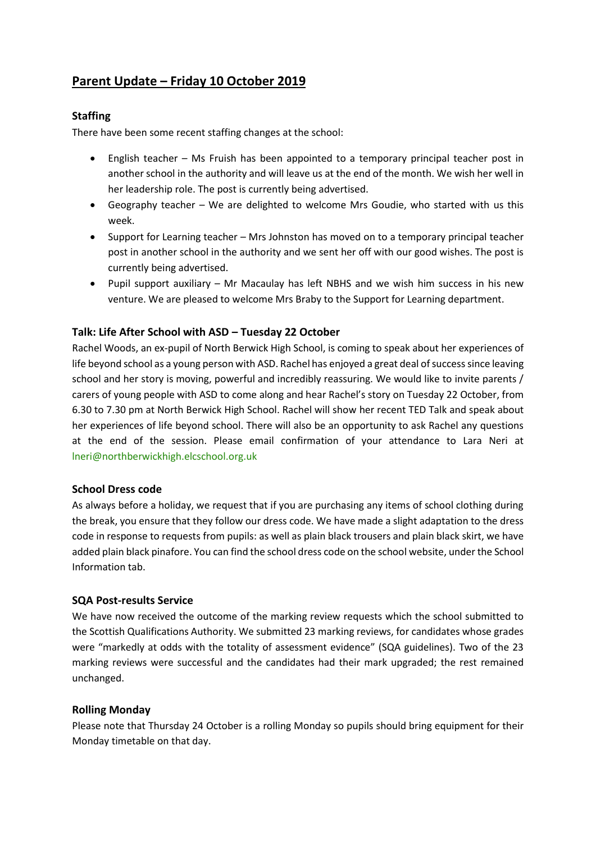# **Parent Update – Friday 10 October 2019**

# **Staffing**

There have been some recent staffing changes at the school:

- English teacher Ms Fruish has been appointed to a temporary principal teacher post in another school in the authority and will leave us at the end of the month. We wish her well in her leadership role. The post is currently being advertised.
- Geography teacher We are delighted to welcome Mrs Goudie, who started with us this week.
- Support for Learning teacher Mrs Johnston has moved on to a temporary principal teacher post in another school in the authority and we sent her off with our good wishes. The post is currently being advertised.
- Pupil support auxiliary Mr Macaulay has left NBHS and we wish him success in his new venture. We are pleased to welcome Mrs Braby to the Support for Learning department.

# **Talk: Life After School with ASD – Tuesday 22 October**

Rachel Woods, an ex-pupil of North Berwick High School, is coming to speak about her experiences of life beyond school as a young person with ASD. Rachel has enjoyed a great deal of success since leaving school and her story is moving, powerful and incredibly reassuring. We would like to invite parents / carers of young people with ASD to come along and hear Rachel's story on Tuesday 22 October, from 6.30 to 7.30 pm at North Berwick High School. Rachel will show her recent TED Talk and speak about her experiences of life beyond school. There will also be an opportunity to ask Rachel any questions at the end of the session. Please email confirmation of your attendance to Lara Neri at [lneri@northberwickhigh.elcschool.org.uk](mailto:lneri@northberwickhigh.elcschool.org.uk)

### **School Dress code**

As always before a holiday, we request that if you are purchasing any items of school clothing during the break, you ensure that they follow our dress code. We have made a slight adaptation to the dress code in response to requests from pupils: as well as plain black trousers and plain black skirt, we have added plain black pinafore. You can find the school dress code on the school website, under the School Information tab.

### **SQA Post-results Service**

We have now received the outcome of the marking review requests which the school submitted to the Scottish Qualifications Authority. We submitted 23 marking reviews, for candidates whose grades were "markedly at odds with the totality of assessment evidence" (SQA guidelines). Two of the 23 marking reviews were successful and the candidates had their mark upgraded; the rest remained unchanged.

# **Rolling Monday**

Please note that Thursday 24 October is a rolling Monday so pupils should bring equipment for their Monday timetable on that day.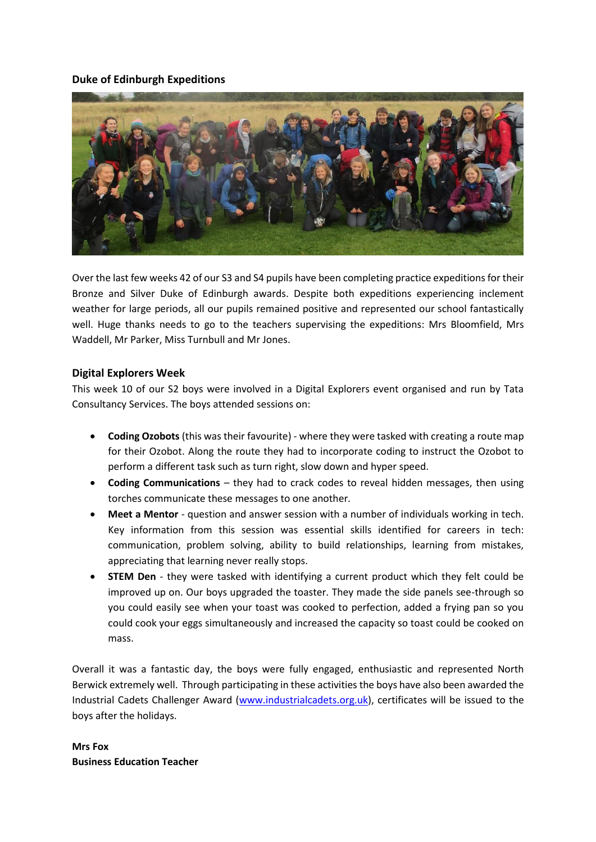# **Duke of Edinburgh Expeditions**



Over the last few weeks 42 of our S3 and S4 pupils have been completing practice expeditions for their Bronze and Silver Duke of Edinburgh awards. Despite both expeditions experiencing inclement weather for large periods, all our pupils remained positive and represented our school fantastically well. Huge thanks needs to go to the teachers supervising the expeditions: Mrs Bloomfield, Mrs Waddell, Mr Parker, Miss Turnbull and Mr Jones.

# **Digital Explorers Week**

This week 10 of our S2 boys were involved in a Digital Explorers event organised and run by Tata Consultancy Services. The boys attended sessions on:

- **Coding Ozobots** (this was their favourite) where they were tasked with creating a route map for their Ozobot. Along the route they had to incorporate coding to instruct the Ozobot to perform a different task such as turn right, slow down and hyper speed.
- **Coding Communications** they had to crack codes to reveal hidden messages, then using torches communicate these messages to one another.
- **Meet a Mentor** question and answer session with a number of individuals working in tech. Key information from this session was essential skills identified for careers in tech: communication, problem solving, ability to build relationships, learning from mistakes, appreciating that learning never really stops.
- **STEM Den** they were tasked with identifying a current product which they felt could be improved up on. Our boys upgraded the toaster. They made the side panels see-through so you could easily see when your toast was cooked to perfection, added a frying pan so you could cook your eggs simultaneously and increased the capacity so toast could be cooked on mass.

Overall it was a fantastic day, the boys were fully engaged, enthusiastic and represented North Berwick extremely well. Through participating in these activities the boys have also been awarded the Industrial Cadets Challenger Award [\(www.industrialcadets.org.uk\)](http://www.industrialcadets.org.uk/), certificates will be issued to the boys after the holidays.

**Mrs Fox Business Education Teacher**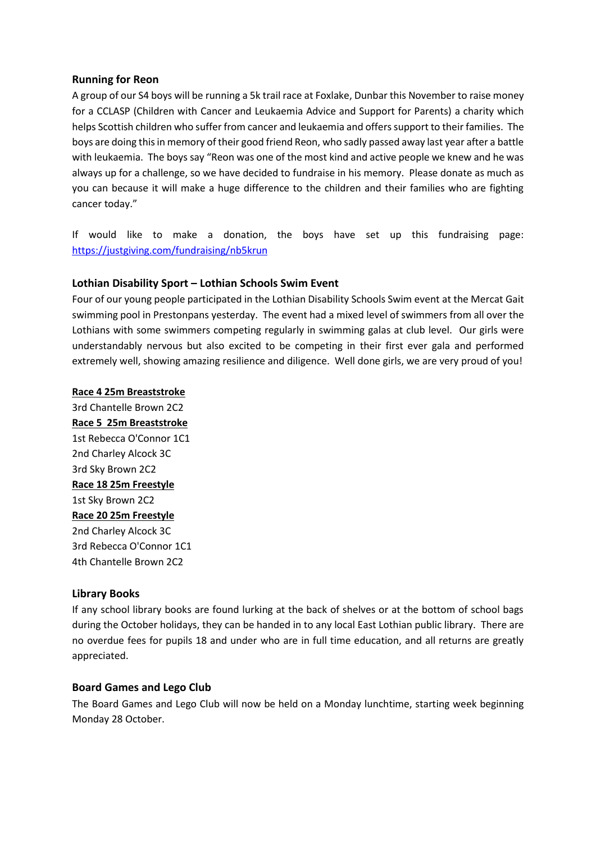# **Running for Reon**

A group of our S4 boys will be running a 5k trail race at Foxlake, Dunbar this November to raise money for a CCLASP (Children with Cancer and Leukaemia Advice and Support for Parents) a charity which helps Scottish children who suffer from cancer and leukaemia and offers support to their families. The boys are doing this in memory of their good friend Reon, who sadly passed away last year after a battle with leukaemia. The boys say "Reon was one of the most kind and active people we knew and he was always up for a challenge, so we have decided to fundraise in his memory. Please donate as much as you can because it will make a huge difference to the children and their families who are fighting cancer today."

If would like to make a donation, the boys have set up this fundraising page: <https://justgiving.com/fundraising/nb5krun>

# **Lothian Disability Sport – Lothian Schools Swim Event**

Four of our young people participated in the Lothian Disability Schools Swim event at the Mercat Gait swimming pool in Prestonpans yesterday. The event had a mixed level of swimmers from all over the Lothians with some swimmers competing regularly in swimming galas at club level. Our girls were understandably nervous but also excited to be competing in their first ever gala and performed extremely well, showing amazing resilience and diligence. Well done girls, we are very proud of you!

#### **Race 4 25m Breaststroke**

3rd Chantelle Brown 2C2 **Race 5 25m Breaststroke** 1st Rebecca O'Connor 1C1 2nd Charley Alcock 3C 3rd Sky Brown 2C2 **Race 18 25m Freestyle** 1st Sky Brown 2C2 **Race 20 25m Freestyle** 2nd Charley Alcock 3C 3rd Rebecca O'Connor 1C1 4th Chantelle Brown 2C2

### **Library Books**

If any school library books are found lurking at the back of shelves or at the bottom of school bags during the October holidays, they can be handed in to any local East Lothian public library. There are no overdue fees for pupils 18 and under who are in full time education, and all returns are greatly appreciated.

### **Board Games and Lego Club**

The Board Games and Lego Club will now be held on a Monday lunchtime, starting week beginning Monday 28 October.